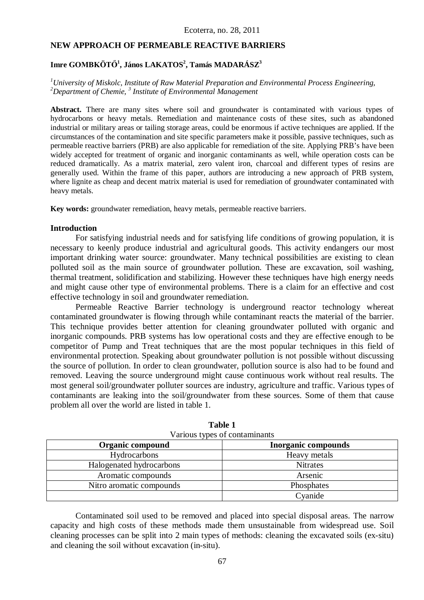### **NEW APPROACH OF PERMEABLE REACTIVE BARRIERS**

### **Imre GOMBKÖTŐ<sup>1</sup> , János LAKATOS<sup>2</sup> , Tamás MADARÁSZ<sup>3</sup>**

### *<sup>1</sup>University of Miskolc, Institute of Raw Material Preparation and Environmental Process Engineering, <sup>2</sup>Department of Chemie, <sup>3</sup> Institute of Environmental Management*

**Abstract.** There are many sites where soil and groundwater is contaminated with various types of hydrocarbons or heavy metals. Remediation and maintenance costs of these sites, such as abandoned industrial or military areas or tailing storage areas, could be enormous if active techniques are applied. If the circumstances of the contamination and site specific parameters make it possible, passive techniques, such as permeable reactive barriers (PRB) are also applicable for remediation of the site. Applying PRB's have been widely accepted for treatment of organic and inorganic contaminants as well, while operation costs can be reduced dramatically. As a matrix material, zero valent iron, charcoal and different types of resins are generally used. Within the frame of this paper, authors are introducing a new approach of PRB system, where lignite as cheap and decent matrix material is used for remediation of groundwater contaminated with heavy metals.

**Key words:** groundwater remediation, heavy metals, permeable reactive barriers.

#### **Introduction**

For satisfying industrial needs and for satisfying life conditions of growing population, it is necessary to keenly produce industrial and agricultural goods. This activity endangers our most important drinking water source: groundwater. Many technical possibilities are existing to clean polluted soil as the main source of groundwater pollution. These are excavation, soil washing, thermal treatment, solidification and stabilizing. However these techniques have high energy needs and might cause other type of environmental problems. There is a claim for an effective and cost effective technology in soil and groundwater remediation.

Permeable Reactive Barrier technology is underground reactor technology whereat contaminated groundwater is flowing through while contaminant reacts the material of the barrier. This technique provides better attention for cleaning groundwater polluted with organic and inorganic compounds. PRB systems has low operational costs and they are effective enough to be competitor of Pump and Treat techniques that are the most popular techniques in this field of environmental protection. Speaking about groundwater pollution is not possible without discussing the source of pollution. In order to clean groundwater, pollution source is also had to be found and removed. Leaving the source underground might cause continuous work without real results. The most general soil/groundwater polluter sources are industry, agriculture and traffic. Various types of contaminants are leaking into the soil/groundwater from these sources. Some of them that cause problem all over the world are listed in table 1.

| $\frac{1}{2}$ and $\frac{1}{2}$ , $\frac{1}{2}$ by $\frac{1}{2}$ by $\frac{1}{2}$ contamination |                            |
|-------------------------------------------------------------------------------------------------|----------------------------|
| Organic compound                                                                                | <b>Inorganic compounds</b> |
| Hydrocarbons                                                                                    | Heavy metals               |
| Halogenated hydrocarbons                                                                        | <b>Nitrates</b>            |
| Aromatic compounds                                                                              | Arsenic                    |
| Nitro aromatic compounds                                                                        | Phosphates                 |
|                                                                                                 | Cyanide                    |

**Table 1** Various types of contaminants

Contaminated soil used to be removed and placed into special disposal areas. The narrow capacity and high costs of these methods made them unsustainable from widespread use. Soil cleaning processes can be split into 2 main types of methods: cleaning the excavated soils (ex-situ) and cleaning the soil without excavation (in-situ).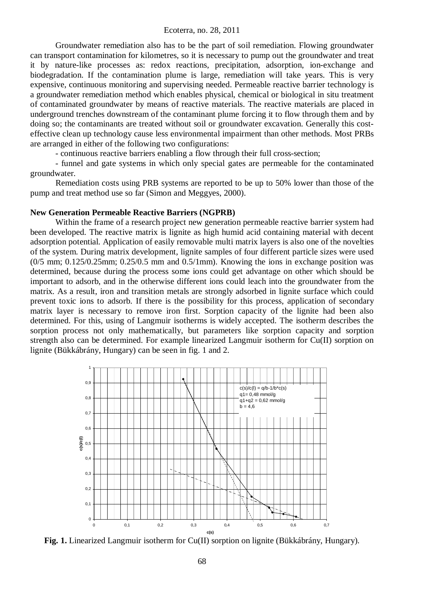Groundwater remediation also has to be the part of soil remediation. Flowing groundwater can transport contamination for kilometres, so it is necessary to pump out the groundwater and treat it by nature-like processes as: redox reactions, precipitation, adsorption, ion-exchange and biodegradation. If the contamination plume is large, remediation will take years. This is very expensive, continuous monitoring and supervising needed. Permeable reactive barrier technology is a groundwater remediation method which enables physical, chemical or biological in situ treatment of contaminated groundwater by means of reactive materials. The reactive materials are placed in underground trenches downstream of the contaminant plume forcing it to flow through them and by doing so; the contaminants are treated without soil or groundwater excavation. Generally this costeffective clean up technology cause less environmental impairment than other methods. Most PRBs are arranged in either of the following two configurations:

- continuous reactive barriers enabling a flow through their full cross-section;

- funnel and gate systems in which only special gates are permeable for the contaminated groundwater.

Remediation costs using PRB systems are reported to be up to 50% lower than those of the pump and treat method use so far (Simon and Meggyes, 2000).

### **New Generation Permeable Reactive Barriers (NGPRB)**

Within the frame of a research project new generation permeable reactive barrier system had been developed. The reactive matrix is lignite as high humid acid containing material with decent adsorption potential. Application of easily removable multi matrix layers is also one of the novelties of the system. During matrix development, lignite samples of four different particle sizes were used  $(0/5$  mm;  $0.125/0.25$ mm;  $0.25/0.5$  mm and  $0.5/1$ mm). Knowing the ions in exchange position was determined, because during the process some ions could get advantage on other which should be important to adsorb, and in the otherwise different ions could leach into the groundwater from the matrix. As a result, iron and transition metals are strongly adsorbed in lignite surface which could prevent toxic ions to adsorb. If there is the possibility for this process, application of secondary matrix layer is necessary to remove iron first. Sorption capacity of the lignite had been also determined. For this, using of Langmuir isotherms is widely accepted. The isotherm describes the sorption process not only mathematically, but parameters like sorption capacity and sorption strength also can be determined. For example linearized Langmuir isotherm for Cu(II) sorption on lignite (Bükkábrány, Hungary) can be seen in fig. 1 and 2.



**Fig. 1.** Linearized Langmuir isotherm for Cu(II) sorption on lignite (Bükkábrány, Hungary).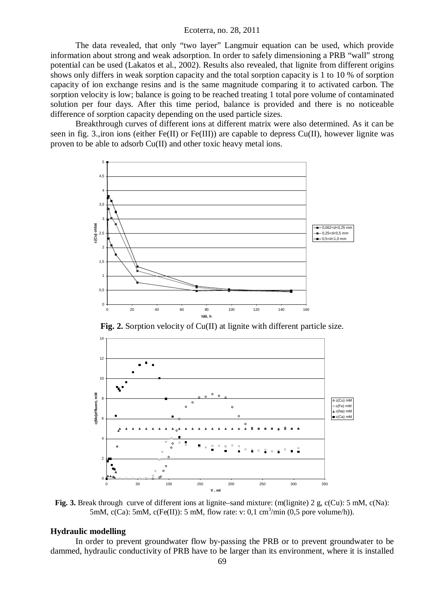### Ecoterra, no. 28, 2011

The data revealed, that only "two layer" Langmuir equation can be used, which provide information about strong and weak adsorption. In order to safely dimensioning a PRB "wall" strong potential can be used (Lakatos et al., 2002). Results also revealed, that lignite from different origins shows only differs in weak sorption capacity and the total sorption capacity is 1 to 10 % of sorption capacity of ion exchange resins and is the same magnitude comparing it to activated carbon. The sorption velocity is low; balance is going to be reached treating 1 total pore volume of contaminated solution per four days. After this time period, balance is provided and there is no noticeable difference of sorption capacity depending on the used particle sizes.

Breakthrough curves of different ions at different matrix were also determined. As it can be seen in fig. 3.,iron ions (either Fe(II) or Fe(III)) are capable to depress Cu(II), however lignite was proven to be able to adsorb Cu(II) and other toxic heavy metal ions.



**Fig. 2.** Sorption velocity of Cu(II) at lignite with different particle size.



**Fig. 3.** Break through curve of different ions at lignite–sand mixture: (m(lignite) 2 g, c(Cu): 5 mM, c(Na): 5mM,  $c(Ca)$ : 5mM,  $c(Fe(II))$ : 5 mM, flow rate: v: 0,1 cm<sup>3</sup>/min (0,5 pore volume/h)).

### **Hydraulic modelling**

In order to prevent groundwater flow by-passing the PRB or to prevent groundwater to be dammed, hydraulic conductivity of PRB have to be larger than its environment, where it is installed